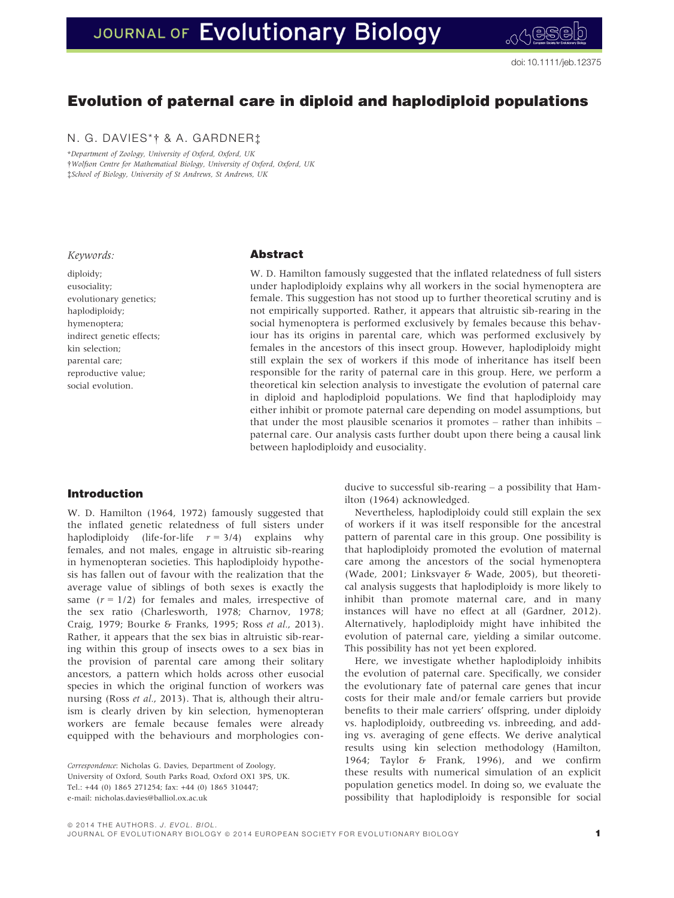# JOURNAL OF Evolutionary Biology

# Evolution of paternal care in diploid and haplodiploid populations

N. G. DAVIES\*† & A. GARDNER‡

\*Department of Zoology, University of Oxford, Oxford, UK †Wolfson Centre for Mathematical Biology, University of Oxford, Oxford, UK ‡School of Biology, University of St Andrews, St Andrews, UK

#### Keywords:

diploidy; eusociality; evolutionary genetics; haplodiploidy; hymenoptera; indirect genetic effects; kin selection; parental care; reproductive value; social evolution.

### Abstract

W. D. Hamilton famously suggested that the inflated relatedness of full sisters under haplodiploidy explains why all workers in the social hymenoptera are female. This suggestion has not stood up to further theoretical scrutiny and is not empirically supported. Rather, it appears that altruistic sib-rearing in the social hymenoptera is performed exclusively by females because this behaviour has its origins in parental care, which was performed exclusively by females in the ancestors of this insect group. However, haplodiploidy might still explain the sex of workers if this mode of inheritance has itself been responsible for the rarity of paternal care in this group. Here, we perform a theoretical kin selection analysis to investigate the evolution of paternal care in diploid and haplodiploid populations. We find that haplodiploidy may either inhibit or promote paternal care depending on model assumptions, but that under the most plausible scenarios it promotes – rather than inhibits – paternal care. Our analysis casts further doubt upon there being a causal link between haplodiploidy and eusociality.

# Introduction

W. D. Hamilton (1964, 1972) famously suggested that the inflated genetic relatedness of full sisters under haplodiploidy (life-for-life  $r = 3/4$ ) explains why females, and not males, engage in altruistic sib-rearing in hymenopteran societies. This haplodiploidy hypothesis has fallen out of favour with the realization that the average value of siblings of both sexes is exactly the same  $(r = 1/2)$  for females and males, irrespective of the sex ratio (Charlesworth, 1978; Charnov, 1978; Craig, 1979; Bourke & Franks, 1995; Ross et al., 2013). Rather, it appears that the sex bias in altruistic sib-rearing within this group of insects owes to a sex bias in the provision of parental care among their solitary ancestors, a pattern which holds across other eusocial species in which the original function of workers was nursing (Ross et al., 2013). That is, although their altruism is clearly driven by kin selection, hymenopteran workers are female because females were already equipped with the behaviours and morphologies conducive to successful sib-rearing – a possibility that Hamilton (1964) acknowledged.

Nevertheless, haplodiploidy could still explain the sex of workers if it was itself responsible for the ancestral pattern of parental care in this group. One possibility is that haplodiploidy promoted the evolution of maternal care among the ancestors of the social hymenoptera (Wade, 2001; Linksvayer & Wade, 2005), but theoretical analysis suggests that haplodiploidy is more likely to inhibit than promote maternal care, and in many instances will have no effect at all (Gardner, 2012). Alternatively, haplodiploidy might have inhibited the evolution of paternal care, yielding a similar outcome. This possibility has not yet been explored.

Here, we investigate whether haplodiploidy inhibits the evolution of paternal care. Specifically, we consider the evolutionary fate of paternal care genes that incur costs for their male and/or female carriers but provide benefits to their male carriers' offspring, under diploidy vs. haplodiploidy, outbreeding vs. inbreeding, and adding vs. averaging of gene effects. We derive analytical results using kin selection methodology (Hamilton, 1964; Taylor & Frank, 1996), and we confirm these results with numerical simulation of an explicit population genetics model. In doing so, we evaluate the possibility that haplodiploidy is responsible for social

Correspondence: Nicholas G. Davies, Department of Zoology, University of Oxford, South Parks Road, Oxford OX1 3PS, UK. Tel.: +44 (0) 1865 271254; fax: +44 (0) 1865 310447; e-mail: nicholas.davies@balliol.ox.ac.uk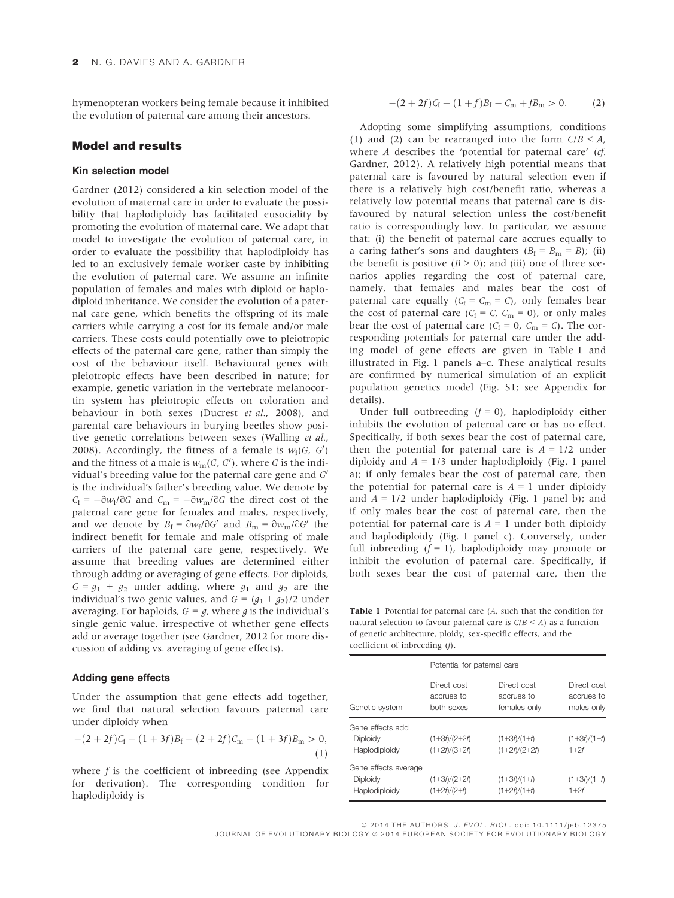hymenopteran workers being female because it inhibited the evolution of paternal care among their ancestors.

#### Model and results

#### Kin selection model

Gardner (2012) considered a kin selection model of the evolution of maternal care in order to evaluate the possibility that haplodiploidy has facilitated eusociality by promoting the evolution of maternal care. We adapt that model to investigate the evolution of paternal care, in order to evaluate the possibility that haplodiploidy has led to an exclusively female worker caste by inhibiting the evolution of paternal care. We assume an infinite population of females and males with diploid or haplodiploid inheritance. We consider the evolution of a paternal care gene, which benefits the offspring of its male carriers while carrying a cost for its female and/or male carriers. These costs could potentially owe to pleiotropic effects of the paternal care gene, rather than simply the cost of the behaviour itself. Behavioural genes with pleiotropic effects have been described in nature; for example, genetic variation in the vertebrate melanocortin system has pleiotropic effects on coloration and behaviour in both sexes (Ducrest et al., 2008), and parental care behaviours in burying beetles show positive genetic correlations between sexes (Walling et al., 2008). Accordingly, the fitness of a female is  $w_f(G, G')$ and the fitness of a male is  $w_m(G, G')$ , where G is the individual's breeding value for the paternal care gene and  $G'$ is the individual's father's breeding value. We denote by  $C_f = -\frac{\partial w_f}{\partial G}$  and  $C_m = -\frac{\partial w_m}{\partial G}$  the direct cost of the paternal care gene for females and males, respectively, and we denote by  $B_f = \partial w_f / \partial G'$  and  $B_m = \partial w_m / \partial G'$  the indirect benefit for female and male offspring of male carriers of the paternal care gene, respectively. We assume that breeding values are determined either through adding or averaging of gene effects. For diploids,  $G = g_1 + g_2$  under adding, where  $g_1$  and  $g_2$  are the individual's two genic values, and  $G = (g_1 + g_2)/2$  under averaging. For haploids,  $G = g$ , where g is the individual's single genic value, irrespective of whether gene effects add or average together (see Gardner, 2012 for more discussion of adding vs. averaging of gene effects).

#### Adding gene effects

Under the assumption that gene effects add together, we find that natural selection favours paternal care under diploidy when

$$
-(2+2f)C_f + (1+3f)B_f - (2+2f)C_m + (1+3f)B_m > 0,
$$
  
(1)

where f is the coefficient of inbreeding (see Appendix for derivation). The corresponding condition for haplodiploidy is

$$
-(2+2f)C_f + (1+f)B_f - C_m + fB_m > 0. \tag{2}
$$

Adopting some simplifying assumptions, conditions (1) and (2) can be rearranged into the form  $C/B < A$ , where  $A$  describes the 'potential for paternal care' (cf. Gardner, 2012). A relatively high potential means that paternal care is favoured by natural selection even if there is a relatively high cost/benefit ratio, whereas a relatively low potential means that paternal care is disfavoured by natural selection unless the cost/benefit ratio is correspondingly low. In particular, we assume that: (i) the benefit of paternal care accrues equally to a caring father's sons and daughters  $(B_f = B_m = B)$ ; (ii) the benefit is positive  $(B > 0)$ ; and (iii) one of three scenarios applies regarding the cost of paternal care, namely, that females and males bear the cost of paternal care equally  $(C_f = C_m = C)$ , only females bear the cost of paternal care ( $C_f = C$ ,  $C_m = 0$ ), or only males bear the cost of paternal care ( $C_f = 0$ ,  $C_m = C$ ). The corresponding potentials for paternal care under the adding model of gene effects are given in Table 1 and illustrated in Fig. 1 panels a–c. These analytical results are confirmed by numerical simulation of an explicit population genetics model (Fig. S1; see Appendix for details).

Under full outbreeding  $(f = 0)$ , haplodiploidy either inhibits the evolution of paternal care or has no effect. Specifically, if both sexes bear the cost of paternal care, then the potential for paternal care is  $A = 1/2$  under diploidy and  $A = 1/3$  under haplodiploidy (Fig. 1 panel a); if only females bear the cost of paternal care, then the potential for paternal care is  $A = 1$  under diploidy and  $A = 1/2$  under haplodiploidy (Fig. 1 panel b); and if only males bear the cost of paternal care, then the potential for paternal care is  $A = 1$  under both diploidy and haplodiploidy (Fig. 1 panel c). Conversely, under full inbreeding  $(f = 1)$ , haplodiploidy may promote or inhibit the evolution of paternal care. Specifically, if both sexes bear the cost of paternal care, then the

Table 1 Potential for paternal care (A, such that the condition for natural selection to favour paternal care is  $C/B \leq A$ ) as a function of genetic architecture, ploidy, sex-specific effects, and the coefficient of inbreeding (f).

| Potential for paternal care             |                                           |                                         |
|-----------------------------------------|-------------------------------------------|-----------------------------------------|
| Direct cost<br>accrues to<br>both sexes | Direct cost<br>accrues to<br>females only | Direct cost<br>accrues to<br>males only |
|                                         |                                           |                                         |
| $(1+3f)/(2+2f)$                         | $(1+3f)/(1+f)$                            | $(1+3f)/(1+f)$                          |
| $(1+2f)/(3+2f)$                         | $(1+2f)/(2+2f)$                           | $1+2f$                                  |
|                                         |                                           |                                         |
| $(1+3f)/(2+2f)$                         | $(1+3f)/(1+f)$                            | $(1+3f)/(1+f)$                          |
| $(1+2f)/(2+f)$                          | $(1+2f)/(1+f)$                            | $1+2f$                                  |
|                                         |                                           |                                         |

ª 2014 THE AUTHORS. J. EVOL. BIOL. doi: 10.1111/jeb.12375 JOURNAL OF EVOLUTIONARY BIOLOGY @ 2014 EUROPEAN SOCIETY FOR EVOLUTIONARY BIOLOGY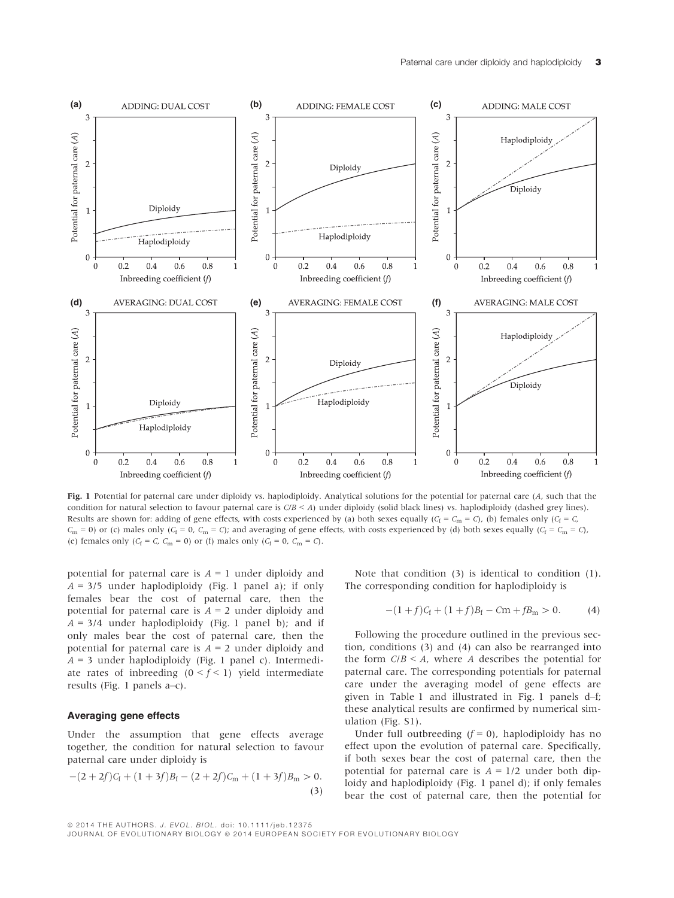

Fig. 1 Potential for paternal care under diploidy vs. haplodiploidy. Analytical solutions for the potential for paternal care (A, such that the condition for natural selection to favour paternal care is  $C/B < A$ ) under diploidy (solid black lines) vs. haplodiploidy (dashed grey lines). Results are shown for: adding of gene effects, with costs experienced by (a) both sexes equally ( $C_f = C_m = C$ ), (b) females only ( $C_f = C$ ,  $C_m = 0$ ) or (c) males only  $(C_f = 0, C_m = C)$ ; and averaging of gene effects, with costs experienced by (d) both sexes equally  $(C_f = C_m = C)$ , (e) females only ( $C_f = C$ ,  $C_m = 0$ ) or (f) males only ( $C_f = 0$ ,  $C_m = C$ ).

potential for paternal care is  $A = 1$  under diploidy and  $A = 3/5$  under haplodiploidy (Fig. 1 panel a); if only females bear the cost of paternal care, then the potential for paternal care is  $A = 2$  under diploidy and  $A = 3/4$  under haplodiploidy (Fig. 1 panel b); and if only males bear the cost of paternal care, then the potential for paternal care is  $A = 2$  under diploidy and  $A = 3$  under haplodiploidy (Fig. 1 panel c). Intermediate rates of inbreeding  $(0 \le f \le 1)$  yield intermediate results (Fig. 1 panels a–c).

#### Averaging gene effects

Under the assumption that gene effects average together, the condition for natural selection to favour paternal care under diploidy is

$$
-(2+2f)Cf + (1+3f)Bf - (2+2f)Cm + (1+3f)Bm > 0.
$$
\n(3)

Note that condition (3) is identical to condition (1). The corresponding condition for haplodiploidy is

$$
-(1+f)C_{f} + (1+f)B_{f} - Cm + fB_{m} > 0.
$$
 (4)

Following the procedure outlined in the previous section, conditions (3) and (4) can also be rearranged into the form  $C/B \leq A$ , where A describes the potential for paternal care. The corresponding potentials for paternal care under the averaging model of gene effects are given in Table 1 and illustrated in Fig. 1 panels d–f; these analytical results are confirmed by numerical simulation (Fig. S1).

Under full outbreeding  $(f = 0)$ , haplodiploidy has no effect upon the evolution of paternal care. Specifically, if both sexes bear the cost of paternal care, then the potential for paternal care is  $A = 1/2$  under both diploidy and haplodiploidy (Fig. 1 panel d); if only females bear the cost of paternal care, then the potential for

JOURNAL OF EVOLUTIONARY BIOLOGY @ 2014 EUROPEAN SOCIETY FOR EVOLUTIONARY BIOLOGY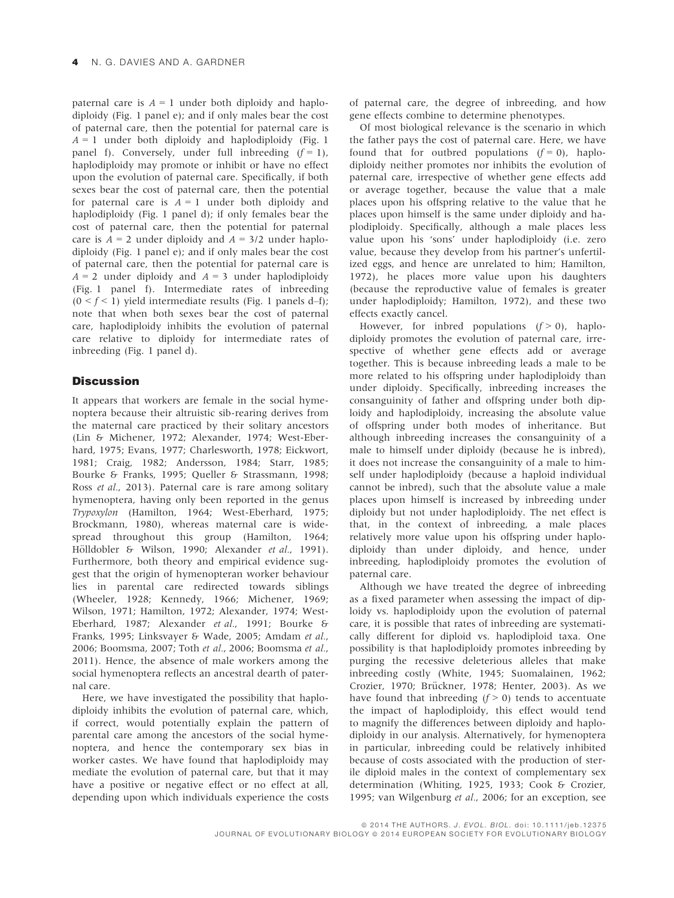paternal care is  $A = 1$  under both diploidy and haplodiploidy (Fig. 1 panel e); and if only males bear the cost of paternal care, then the potential for paternal care is  $A = 1$  under both diploidy and haplodiploidy (Fig. 1) panel f). Conversely, under full inbreeding  $(f = 1)$ , haplodiploidy may promote or inhibit or have no effect upon the evolution of paternal care. Specifically, if both sexes bear the cost of paternal care, then the potential for paternal care is  $A = 1$  under both diploidy and haplodiploidy (Fig. 1 panel d); if only females bear the cost of paternal care, then the potential for paternal care is  $A = 2$  under diploidy and  $A = 3/2$  under haplodiploidy (Fig. 1 panel e); and if only males bear the cost of paternal care, then the potential for paternal care is  $A = 2$  under diploidy and  $A = 3$  under haplodiploidy (Fig. 1 panel f). Intermediate rates of inbreeding  $(0 < f < 1)$  yield intermediate results (Fig. 1 panels d–f); note that when both sexes bear the cost of paternal care, haplodiploidy inhibits the evolution of paternal care relative to diploidy for intermediate rates of inbreeding (Fig. 1 panel d).

# **Discussion**

It appears that workers are female in the social hymenoptera because their altruistic sib-rearing derives from the maternal care practiced by their solitary ancestors (Lin & Michener, 1972; Alexander, 1974; West-Eberhard, 1975; Evans, 1977; Charlesworth, 1978; Eickwort, 1981; Craig, 1982; Andersson, 1984; Starr, 1985; Bourke & Franks, 1995; Queller & Strassmann, 1998; Ross et al., 2013). Paternal care is rare among solitary hymenoptera, having only been reported in the genus Trypoxylon (Hamilton, 1964; West-Eberhard, 1975; Brockmann, 1980), whereas maternal care is widespread throughout this group (Hamilton, 1964; Hölldobler & Wilson, 1990; Alexander et al., 1991). Furthermore, both theory and empirical evidence suggest that the origin of hymenopteran worker behaviour lies in parental care redirected towards siblings (Wheeler, 1928; Kennedy, 1966; Michener, 1969; Wilson, 1971; Hamilton, 1972; Alexander, 1974; West-Eberhard, 1987; Alexander et al., 1991; Bourke & Franks, 1995; Linksvayer & Wade, 2005; Amdam et al., 2006; Boomsma, 2007; Toth et al., 2006; Boomsma et al., 2011). Hence, the absence of male workers among the social hymenoptera reflects an ancestral dearth of paternal care.

Here, we have investigated the possibility that haplodiploidy inhibits the evolution of paternal care, which, if correct, would potentially explain the pattern of parental care among the ancestors of the social hymenoptera, and hence the contemporary sex bias in worker castes. We have found that haplodiploidy may mediate the evolution of paternal care, but that it may have a positive or negative effect or no effect at all, depending upon which individuals experience the costs

of paternal care, the degree of inbreeding, and how gene effects combine to determine phenotypes.

Of most biological relevance is the scenario in which the father pays the cost of paternal care. Here, we have found that for outbred populations  $(f = 0)$ , haplodiploidy neither promotes nor inhibits the evolution of paternal care, irrespective of whether gene effects add or average together, because the value that a male places upon his offspring relative to the value that he places upon himself is the same under diploidy and haplodiploidy. Specifically, although a male places less value upon his 'sons' under haplodiploidy (i.e. zero value, because they develop from his partner's unfertilized eggs, and hence are unrelated to him; Hamilton, 1972), he places more value upon his daughters (because the reproductive value of females is greater under haplodiploidy; Hamilton, 1972), and these two effects exactly cancel.

However, for indred populations  $(f > 0)$ , haplodiploidy promotes the evolution of paternal care, irrespective of whether gene effects add or average together. This is because inbreeding leads a male to be more related to his offspring under haplodiploidy than under diploidy. Specifically, inbreeding increases the consanguinity of father and offspring under both diploidy and haplodiploidy, increasing the absolute value of offspring under both modes of inheritance. But although inbreeding increases the consanguinity of a male to himself under diploidy (because he is inbred), it does not increase the consanguinity of a male to himself under haplodiploidy (because a haploid individual cannot be inbred), such that the absolute value a male places upon himself is increased by inbreeding under diploidy but not under haplodiploidy. The net effect is that, in the context of inbreeding, a male places relatively more value upon his offspring under haplodiploidy than under diploidy, and hence, under inbreeding, haplodiploidy promotes the evolution of paternal care.

Although we have treated the degree of inbreeding as a fixed parameter when assessing the impact of diploidy vs. haplodiploidy upon the evolution of paternal care, it is possible that rates of inbreeding are systematically different for diploid vs. haplodiploid taxa. One possibility is that haplodiploidy promotes inbreeding by purging the recessive deleterious alleles that make inbreeding costly (White, 1945; Suomalainen, 1962; Crozier, 1970; Brückner, 1978; Henter, 2003). As we have found that inbreeding  $(f > 0)$  tends to accentuate the impact of haplodiploidy, this effect would tend to magnify the differences between diploidy and haplodiploidy in our analysis. Alternatively, for hymenoptera in particular, inbreeding could be relatively inhibited because of costs associated with the production of sterile diploid males in the context of complementary sex determination (Whiting, 1925, 1933; Cook & Crozier, 1995; van Wilgenburg et al., 2006; for an exception, see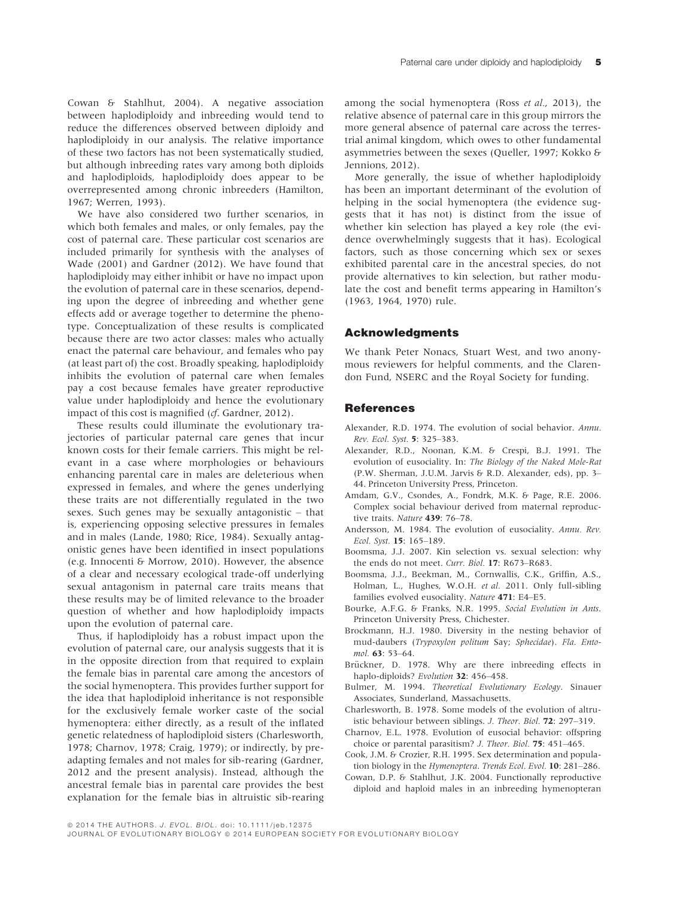Cowan & Stahlhut, 2004). A negative association between haplodiploidy and inbreeding would tend to reduce the differences observed between diploidy and haplodiploidy in our analysis. The relative importance of these two factors has not been systematically studied, but although inbreeding rates vary among both diploids and haplodiploids, haplodiploidy does appear to be overrepresented among chronic inbreeders (Hamilton, 1967; Werren, 1993).

We have also considered two further scenarios, in which both females and males, or only females, pay the cost of paternal care. These particular cost scenarios are included primarily for synthesis with the analyses of Wade (2001) and Gardner (2012). We have found that haplodiploidy may either inhibit or have no impact upon the evolution of paternal care in these scenarios, depending upon the degree of inbreeding and whether gene effects add or average together to determine the phenotype. Conceptualization of these results is complicated because there are two actor classes: males who actually enact the paternal care behaviour, and females who pay (at least part of) the cost. Broadly speaking, haplodiploidy inhibits the evolution of paternal care when females pay a cost because females have greater reproductive value under haplodiploidy and hence the evolutionary impact of this cost is magnified (cf. Gardner, 2012).

These results could illuminate the evolutionary trajectories of particular paternal care genes that incur known costs for their female carriers. This might be relevant in a case where morphologies or behaviours enhancing parental care in males are deleterious when expressed in females, and where the genes underlying these traits are not differentially regulated in the two sexes. Such genes may be sexually antagonistic – that is, experiencing opposing selective pressures in females and in males (Lande, 1980; Rice, 1984). Sexually antagonistic genes have been identified in insect populations (e.g. Innocenti & Morrow, 2010). However, the absence of a clear and necessary ecological trade-off underlying sexual antagonism in paternal care traits means that these results may be of limited relevance to the broader question of whether and how haplodiploidy impacts upon the evolution of paternal care.

Thus, if haplodiploidy has a robust impact upon the evolution of paternal care, our analysis suggests that it is in the opposite direction from that required to explain the female bias in parental care among the ancestors of the social hymenoptera. This provides further support for the idea that haplodiploid inheritance is not responsible for the exclusively female worker caste of the social hymenoptera: either directly, as a result of the inflated genetic relatedness of haplodiploid sisters (Charlesworth, 1978; Charnov, 1978; Craig, 1979); or indirectly, by preadapting females and not males for sib-rearing (Gardner, 2012 and the present analysis). Instead, although the ancestral female bias in parental care provides the best explanation for the female bias in altruistic sib-rearing among the social hymenoptera (Ross et al., 2013), the relative absence of paternal care in this group mirrors the more general absence of paternal care across the terrestrial animal kingdom, which owes to other fundamental asymmetries between the sexes (Queller, 1997; Kokko & Jennions, 2012).

More generally, the issue of whether haplodiploidy has been an important determinant of the evolution of helping in the social hymenoptera (the evidence suggests that it has not) is distinct from the issue of whether kin selection has played a key role (the evidence overwhelmingly suggests that it has). Ecological factors, such as those concerning which sex or sexes exhibited parental care in the ancestral species, do not provide alternatives to kin selection, but rather modulate the cost and benefit terms appearing in Hamilton's (1963, 1964, 1970) rule.

#### Acknowledgments

We thank Peter Nonacs, Stuart West, and two anonymous reviewers for helpful comments, and the Clarendon Fund, NSERC and the Royal Society for funding.

#### **References**

- Alexander, R.D. 1974. The evolution of social behavior. Annu. Rev. Ecol. Syst. 5: 325–383.
- Alexander, R.D., Noonan, K.M. & Crespi, B.J. 1991. The evolution of eusociality. In: The Biology of the Naked Mole-Rat (P.W. Sherman, J.U.M. Jarvis & R.D. Alexander, eds), pp. 3– 44. Princeton University Press, Princeton.
- Amdam, G.V., Csondes, A., Fondrk, M.K. & Page, R.E. 2006. Complex social behaviour derived from maternal reproductive traits. Nature 439: 76-78.
- Andersson, M. 1984. The evolution of eusociality. Annu. Rev. Ecol. Syst. 15: 165–189.
- Boomsma, J.J. 2007. Kin selection vs. sexual selection: why the ends do not meet. Curr. Biol. 17: R673–R683.
- Boomsma, J.J., Beekman, M., Cornwallis, C.K., Griffin, A.S., Holman, L., Hughes, W.O.H. et al. 2011. Only full-sibling families evolved eusociality. Nature 471: E4-E5.
- Bourke, A.F.G. & Franks, N.R. 1995. Social Evolution in Ants. Princeton University Press, Chichester.
- Brockmann, H.J. 1980. Diversity in the nesting behavior of mud-daubers (Trypoxylon politum Say; Sphecidae). Fla. Entomol.  $63:53-64$ .
- Brückner, D. 1978. Why are there inbreeding effects in haplo-diploids? Evolution 32: 456-458.
- Bulmer, M. 1994. Theoretical Evolutionary Ecology. Sinauer Associates, Sunderland, Massachusetts.
- Charlesworth, B. 1978. Some models of the evolution of altruistic behaviour between siblings. J. Theor. Biol. 72: 297–319.
- Charnov, E.L. 1978. Evolution of eusocial behavior: offspring choice or parental parasitism? J. Theor. Biol. 75: 451–465.
- Cook, J.M. & Crozier, R.H. 1995. Sex determination and population biology in the Hymenoptera. Trends Ecol. Evol. 10: 281–286.
- Cowan, D.P. & Stahlhut, J.K. 2004. Functionally reproductive diploid and haploid males in an inbreeding hymenopteran

ª 2014 THE AUTHORS. J. EVOL. BIOL. doi: 10.1111/jeb.12375

JOURNAL OF EVOLUTIONARY BIOLOGY @ 2014 EUROPEAN SOCIETY FOR EVOLUTIONARY BIOLOGY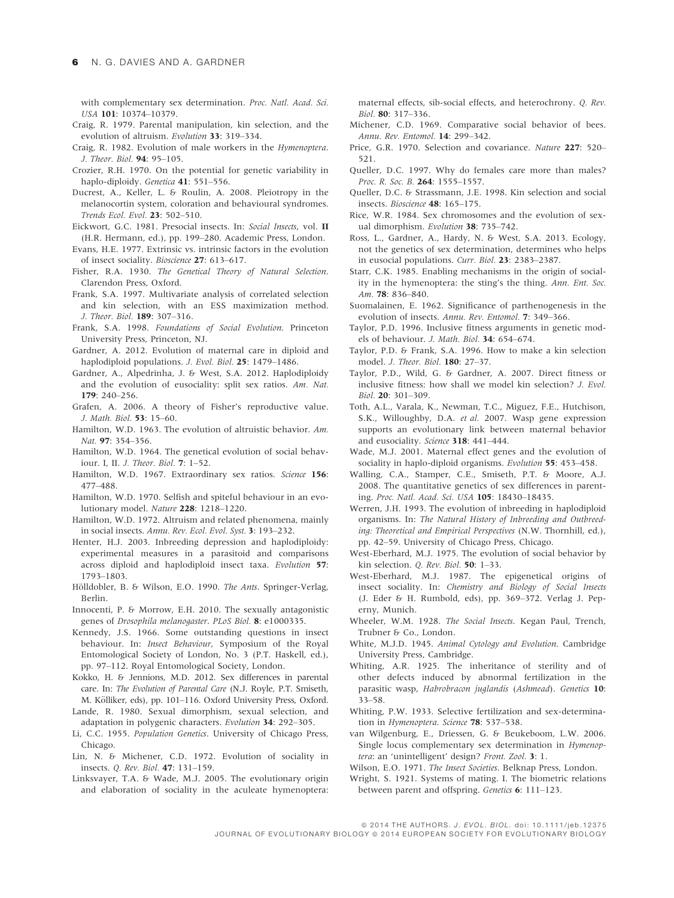with complementary sex determination. Proc. Natl. Acad. Sci. USA 101: 10374–10379.

- Craig, R. 1979. Parental manipulation, kin selection, and the evolution of altruism. Evolution 33: 319–334.
- Craig, R. 1982. Evolution of male workers in the Hymenoptera. J. Theor. Biol. 94: 95–105.
- Crozier, R.H. 1970. On the potential for genetic variability in haplo-diploidy. Genetica 41: 551-556.
- Ducrest, A., Keller, L. & Roulin, A. 2008. Pleiotropy in the melanocortin system, coloration and behavioural syndromes. Trends Ecol. Evol. 23: 502–510.
- Eickwort, G.C. 1981. Presocial insects. In: Social Insects, vol. II (H.R. Hermann, ed.), pp. 199–280. Academic Press, London.
- Evans, H.E. 1977. Extrinsic vs. intrinsic factors in the evolution of insect sociality. Bioscience 27: 613–617.
- Fisher, R.A. 1930. The Genetical Theory of Natural Selection. Clarendon Press, Oxford.
- Frank, S.A. 1997. Multivariate analysis of correlated selection and kin selection, with an ESS maximization method. J. Theor. Biol. 189: 307–316.
- Frank, S.A. 1998. Foundations of Social Evolution. Princeton University Press, Princeton, NJ.
- Gardner, A. 2012. Evolution of maternal care in diploid and haplodiploid populations. J. Evol. Biol. 25: 1479-1486.
- Gardner, A., Alpedrinha, J. & West, S.A. 2012. Haplodiploidy and the evolution of eusociality: split sex ratios. Am. Nat. 179: 240–256.
- Grafen, A. 2006. A theory of Fisher's reproductive value. J. Math. Biol. 53: 15–60.
- Hamilton, W.D. 1963. The evolution of altruistic behavior. Am. Nat. 97: 354–356.
- Hamilton, W.D. 1964. The genetical evolution of social behaviour. I, II. J. Theor. Biol. 7: 1–52.
- Hamilton, W.D. 1967. Extraordinary sex ratios. Science 156: 477–488.
- Hamilton, W.D. 1970. Selfish and spiteful behaviour in an evolutionary model. Nature 228: 1218–1220.
- Hamilton, W.D. 1972. Altruism and related phenomena, mainly in social insects. Annu. Rev. Ecol. Evol. Syst. 3: 193–232.
- Henter, H.J. 2003. Inbreeding depression and haplodiploidy: experimental measures in a parasitoid and comparisons across diploid and haplodiploid insect taxa. Evolution 57: 1793–1803.
- Hölldobler, B. & Wilson, E.O. 1990. The Ants. Springer-Verlag, Berlin.
- Innocenti, P. & Morrow, E.H. 2010. The sexually antagonistic genes of Drosophila melanogaster. PLoS Biol. 8: e1000335.
- Kennedy, J.S. 1966. Some outstanding questions in insect behaviour. In: Insect Behaviour, Symposium of the Royal Entomological Society of London, No. 3 (P.T. Haskell, ed.), pp. 97–112. Royal Entomological Society, London.
- Kokko, H. & Jennions, M.D. 2012. Sex differences in parental care. In: The Evolution of Parental Care (N.J. Royle, P.T. Smiseth, M. Kölliker, eds), pp. 101-116. Oxford University Press, Oxford.
- Lande, R. 1980. Sexual dimorphism, sexual selection, and adaptation in polygenic characters. Evolution 34: 292–305.
- Li, C.C. 1955. Population Genetics. University of Chicago Press, Chicago.
- Lin, N. & Michener, C.D. 1972. Evolution of sociality in insects. Q. Rev. Biol. 47: 131–159.
- Linksvayer, T.A. & Wade, M.J. 2005. The evolutionary origin and elaboration of sociality in the aculeate hymenoptera:

maternal effects, sib-social effects, and heterochrony. Q. Rev. Biol. 80: 317–336.

- Michener, C.D. 1969. Comparative social behavior of bees. Annu. Rev. Entomol. 14: 299–342.
- Price, G.R. 1970. Selection and covariance. Nature 227: 520– 521.
- Queller, D.C. 1997. Why do females care more than males? Proc. R. Soc. B. 264: 1555-1557.
- Queller, D.C. & Strassmann, J.E. 1998. Kin selection and social insects. Bioscience 48: 165–175.
- Rice, W.R. 1984. Sex chromosomes and the evolution of sexual dimorphism. Evolution 38: 735–742.
- Ross, L., Gardner, A., Hardy, N. & West, S.A. 2013. Ecology, not the genetics of sex determination, determines who helps in eusocial populations. Curr. Biol. 23: 2383–2387.
- Starr, C.K. 1985. Enabling mechanisms in the origin of sociality in the hymenoptera: the sting's the thing. Ann. Ent. Soc. Am.  $78: 836 - 840$ .
- Suomalainen, E. 1962. Significance of parthenogenesis in the evolution of insects. Annu. Rev. Entomol. 7: 349–366.
- Taylor, P.D. 1996. Inclusive fitness arguments in genetic models of behaviour. J. Math. Biol. 34: 654–674.
- Taylor, P.D. & Frank, S.A. 1996. How to make a kin selection model. J. Theor. Biol. 180: 27–37.
- Taylor, P.D., Wild, G. & Gardner, A. 2007. Direct fitness or inclusive fitness: how shall we model kin selection? J. Evol. Biol. 20: 301–309.
- Toth, A.L., Varala, K., Newman, T.C., Miguez, F.E., Hutchison, S.K., Willoughby, D.A. et al. 2007. Wasp gene expression supports an evolutionary link between maternal behavior and eusociality. Science 318: 441–444.
- Wade, M.J. 2001. Maternal effect genes and the evolution of sociality in haplo-diploid organisms. Evolution 55: 453–458.
- Walling, C.A., Stamper, C.E., Smiseth, P.T. & Moore, A.J. 2008. The quantitative genetics of sex differences in parenting. Proc. Natl. Acad. Sci. USA 105: 18430–18435.
- Werren, J.H. 1993. The evolution of inbreeding in haplodiploid organisms. In: The Natural History of Inbreeding and Outbreeding: Theoretical and Empirical Perspectives (N.W. Thornhill, ed.), pp. 42–59. University of Chicago Press, Chicago.
- West-Eberhard, M.J. 1975. The evolution of social behavior by kin selection. Q. Rev. Biol. 50: 1–33.
- West-Eberhard, M.J. 1987. The epigenetical origins of insect sociality. In: Chemistry and Biology of Social Insects (J. Eder & H. Rumbold, eds), pp. 369–372. Verlag J. Peperny, Munich.
- Wheeler, W.M. 1928. The Social Insects. Kegan Paul, Trench, Trubner & Co., London.
- White, M.J.D. 1945. Animal Cytology and Evolution. Cambridge University Press, Cambridge.
- Whiting, A.R. 1925. The inheritance of sterility and of other defects induced by abnormal fertilization in the parasitic wasp, Habrobracon juglandis (Ashmead). Genetics 10: 33–58.
- Whiting, P.W. 1933. Selective fertilization and sex-determination in Hymenoptera. Science 78: 537-538.
- van Wilgenburg, E., Driessen, G. & Beukeboom, L.W. 2006. Single locus complementary sex determination in Hymenoptera: an 'unintelligent' design? Front. Zool. 3: 1.
- Wilson, E.O. 1971. The Insect Societies. Belknap Press, London.
- Wright, S. 1921. Systems of mating. I. The biometric relations between parent and offspring. Genetics 6: 111-123.

© 2014 THE AUTHORS. J. EVOL. BIOL. doi: 10.1111/jeb.12375 JOURNAL OF EVOLUTIONARY BIOLOGY @ 2014 EUROPEAN SOCIETY FOR EVOLUTIONARY BIOLOGY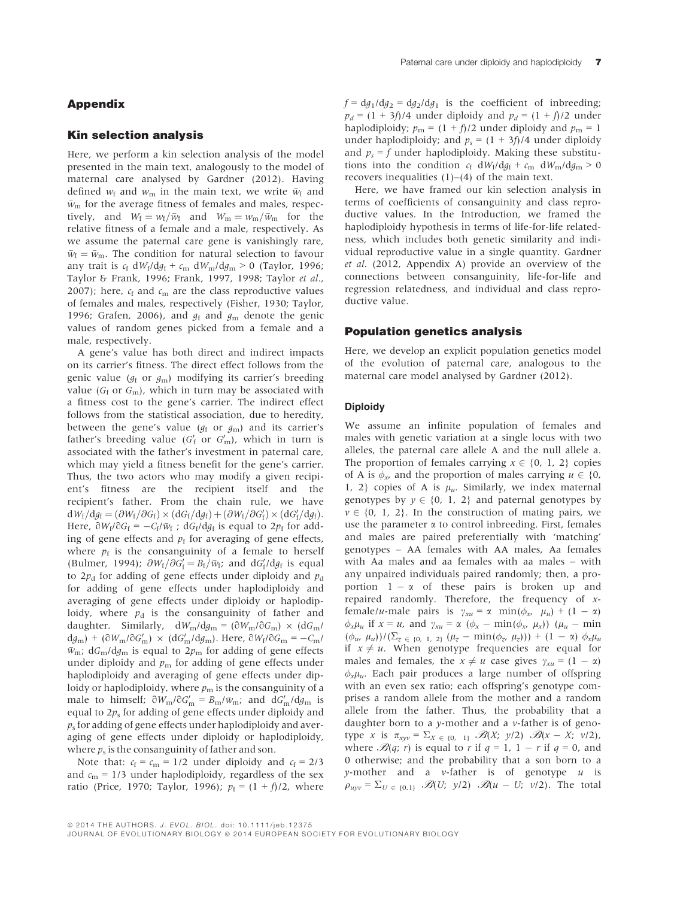## Appendix

# Kin selection analysis

Here, we perform a kin selection analysis of the model presented in the main text, analogously to the model of maternal care analysed by Gardner (2012). Having defined  $w_f$  and  $w_m$  in the main text, we write  $\bar{w}_f$  and  $\bar{w}_{\text{m}}$  for the average fitness of females and males, respectively, and  $W_f = w_f / \bar{w}_f$  and  $W_m = w_m / \bar{w}_m$  for the relative fitness of a female and a male, respectively. As we assume the paternal care gene is vanishingly rare,  $\bar{w}_f = \bar{w}_m$ . The condition for natural selection to favour any trait is  $c_f$  d $W_f/dg_f + c_m$  d $W_m/dg_m > 0$  (Taylor, 1996; Taylor & Frank, 1996; Frank, 1997, 1998; Taylor et al., 2007); here,  $c_f$  and  $c_m$  are the class reproductive values of females and males, respectively (Fisher, 1930; Taylor, 1996; Grafen, 2006), and  $g_f$  and  $g_m$  denote the genic values of random genes picked from a female and a male, respectively.

A gene's value has both direct and indirect impacts on its carrier's fitness. The direct effect follows from the genic value ( $g_f$  or  $g_m$ ) modifying its carrier's breeding value ( $G_f$  or  $G_m$ ), which in turn may be associated with a fitness cost to the gene's carrier. The indirect effect follows from the statistical association, due to heredity, between the gene's value ( $g_f$  or  $g_m$ ) and its carrier's father's breeding value ( $G_f'$  or  $G_m'$ ), which in turn is associated with the father's investment in paternal care, which may yield a fitness benefit for the gene's carrier. Thus, the two actors who may modify a given recipient's fitness are the recipient itself and the recipient's father. From the chain rule, we have  $dW_f/dg_f = (\partial W_f/\partial G_f) \times (dG_f/dg_f) + (\partial W_f/\partial G'_f) \times (dG'_f/dg_f).$ Here,  $\partial W_f / \partial G_f = -C_f / \bar{w}_f$ ;  $dG_f / dg_f$  is equal to  $2p_f$  for adding of gene effects and  $p_f$  for averaging of gene effects, where  $p_f$  is the consanguinity of a female to herself (Bulmer, 1994);  $\partial W_f / \partial G'_f = B_f / \bar{w}_f$ ; and  $dG'_f / dg_f$  is equal to  $2p_d$  for adding of gene effects under diploidy and  $p_d$ for adding of gene effects under haplodiploidy and averaging of gene effects under diploidy or haplodiploidy, where  $p_d$  is the consanguinity of father and daughter. Similarly,  $dW_m/dg_m = (\partial W_m/\partial G_m) \times (dG_m/\partial G_m)$  $dg_m$ ) + ( $\partial W_m / \partial G'_m$ ) × ( $dG'_m / dg_m$ ). Here,  $\partial W_f / \partial G_m = -C_m /$  $\bar{w}_{\rm m}$ ; d $G_{\rm m}/\rm{d} g_{\rm m}$  is equal to  $2p_{\rm m}$  for adding of gene effects under diploidy and  $p_m$  for adding of gene effects under haplodiploidy and averaging of gene effects under diploidy or haplodiploidy, where  $p_m$  is the consanguinity of a male to himself;  $\partial W_{\text{m}}/\partial G'_{\text{m}} = B_{\text{m}}/\bar{w}_{\text{m}}$ ; and  $dG'_{\text{m}}/d g_{\text{m}}$  is equal to  $2p_s$  for adding of gene effects under diploidy and  $p_s$  for adding of gene effects under haplodiploidy and averaging of gene effects under diploidy or haplodiploidy, where  $p_s$  is the consanguinity of father and son.

Note that:  $c_f = c_m = 1/2$  under diploidy and  $c_f = 2/3$ and  $c_m = 1/3$  under haplodiploidy, regardless of the sex ratio (Price, 1970; Taylor, 1996);  $p_f = (1 + f)/2$ , where  $f = dg_1/dg_2 = dg_2/dg_1$  is the coefficient of inbreeding;  $p_d = (1 + 3f)/4$  under diploidy and  $p_d = (1 + f)/2$  under haplodiploidy;  $p_m = (1 + f)/2$  under diploidy and  $p_m = 1$ under haplodiploidy; and  $p_s = (1 + 3f)/4$  under diploidy and  $p_s = f$  under haplodiploidy. Making these substitutions into the condition  $c_f dW_f/dg_f + c_m dW_m/dg_m > 0$ recovers inequalities  $(1)$ – $(4)$  of the main text.

Here, we have framed our kin selection analysis in terms of coefficients of consanguinity and class reproductive values. In the Introduction, we framed the haplodiploidy hypothesis in terms of life-for-life relatedness, which includes both genetic similarity and individual reproductive value in a single quantity. Gardner et al. (2012, Appendix A) provide an overview of the connections between consanguinity, life-for-life and regression relatedness, and individual and class reproductive value.

### Population genetics analysis

Here, we develop an explicit population genetics model of the evolution of paternal care, analogous to the maternal care model analysed by Gardner (2012).

### Diploidy

We assume an infinite population of females and males with genetic variation at a single locus with two alleles, the paternal care allele A and the null allele a. The proportion of females carrying  $x \in \{0, 1, 2\}$  copies of A is  $\phi_x$ , and the proportion of males carrying  $u \in \{0,$ 1, 2} copies of A is  $\mu_u$ . Similarly, we index maternal genotypes by  $y \in \{0, 1, 2\}$  and paternal genotypes by  $v \in \{0, 1, 2\}$ . In the construction of mating pairs, we use the parameter  $\alpha$  to control inbreeding. First, females and males are paired preferentially with 'matching' genotypes – AA females with AA males, Aa females with Aa males and aa females with aa males – with any unpaired individuals paired randomly; then, a proportion  $1 - \alpha$  of these pairs is broken up and repaired randomly. Therefore, the frequency of xfemale/*u*-male pairs is  $\gamma_{xu} = \alpha \min(\phi_x, \mu_u) + (1 - \alpha)$  $\phi_x \mu_u$  if  $x = u$ , and  $\gamma_{xu} = \alpha (\phi_x - \min(\phi_x, \mu_x)) (\mu_u - \min(\phi_x, \mu_x))$  $(\phi_u, \mu_u)/(\Sigma_{z \in \{0, 1, 2\}} (\mu_z - \min(\phi_z, \mu_z))) + (1 - \alpha) \phi_x \mu_u$ if  $x \neq u$ . When genotype frequencies are equal for males and females, the  $x \neq u$  case gives  $\gamma_{xu} = (1 - \alpha)$  $\phi_x \mu_u$ . Each pair produces a large number of offspring with an even sex ratio; each offspring's genotype comprises a random allele from the mother and a random allele from the father. Thus, the probability that a daughter born to a  $y$ -mother and a  $v$ -father is of genotype x is  $\pi_{xyv} = \sum_{X \in \{0, 1\}} \mathcal{B}(X; y/2) \mathcal{B}(x - X; v/2)$ , where  $\mathcal{B}(q; r)$  is equal to r if  $q = 1$ ,  $1 - r$  if  $q = 0$ , and 0 otherwise; and the probability that a son born to a y-mother and a v-father is of genotype  $u$  is  $\rho_{uyv} = \Sigma_{U \in \{0,1\}}$   $\mathscr{B}(U; y/2)$   $\mathscr{B}(u - U; v/2)$ . The total

JOURNAL OF EVOLUTIONARY BIOLOGY @ 2014 EUROPEAN SOCIETY FOR EVOLUTIONARY BIOLOGY